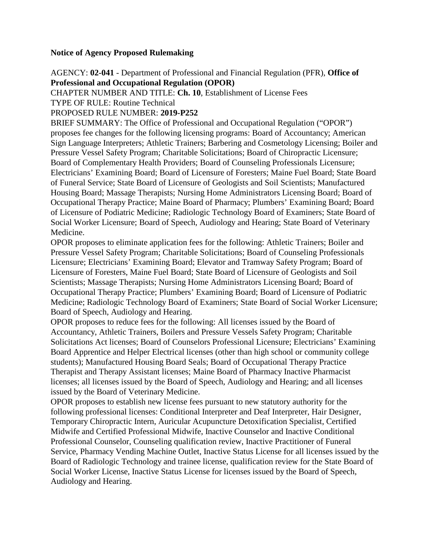# **Notice of Agency Proposed Rulemaking**

AGENCY: **02-041** - Department of Professional and Financial Regulation (PFR), **Office of Professional and Occupational Regulation (OPOR)**

CHAPTER NUMBER AND TITLE: **Ch. 10**, Establishment of License Fees

TYPE OF RULE: Routine Technical

PROPOSED RULE NUMBER: **2019-P252**

BRIEF SUMMARY: The Office of Professional and Occupational Regulation ("OPOR") proposes fee changes for the following licensing programs: Board of Accountancy; American Sign Language Interpreters; Athletic Trainers; Barbering and Cosmetology Licensing; Boiler and Pressure Vessel Safety Program; Charitable Solicitations; Board of Chiropractic Licensure; Board of Complementary Health Providers; Board of Counseling Professionals Licensure; Electricians' Examining Board; Board of Licensure of Foresters; Maine Fuel Board; State Board of Funeral Service; State Board of Licensure of Geologists and Soil Scientists; Manufactured Housing Board; Massage Therapists; Nursing Home Administrators Licensing Board; Board of Occupational Therapy Practice; Maine Board of Pharmacy; Plumbers' Examining Board; Board of Licensure of Podiatric Medicine; Radiologic Technology Board of Examiners; State Board of Social Worker Licensure; Board of Speech, Audiology and Hearing; State Board of Veterinary Medicine.

OPOR proposes to eliminate application fees for the following: Athletic Trainers; Boiler and Pressure Vessel Safety Program; Charitable Solicitations; Board of Counseling Professionals Licensure; Electricians' Examining Board; Elevator and Tramway Safety Program; Board of Licensure of Foresters, Maine Fuel Board; State Board of Licensure of Geologists and Soil Scientists; Massage Therapists; Nursing Home Administrators Licensing Board; Board of Occupational Therapy Practice; Plumbers' Examining Board; Board of Licensure of Podiatric Medicine; Radiologic Technology Board of Examiners; State Board of Social Worker Licensure; Board of Speech, Audiology and Hearing.

OPOR proposes to reduce fees for the following: All licenses issued by the Board of Accountancy, Athletic Trainers, Boilers and Pressure Vessels Safety Program; Charitable Solicitations Act licenses; Board of Counselors Professional Licensure; Electricians' Examining Board Apprentice and Helper Electrical licenses (other than high school or community college students); Manufactured Housing Board Seals; Board of Occupational Therapy Practice Therapist and Therapy Assistant licenses; Maine Board of Pharmacy Inactive Pharmacist licenses; all licenses issued by the Board of Speech, Audiology and Hearing; and all licenses issued by the Board of Veterinary Medicine.

OPOR proposes to establish new license fees pursuant to new statutory authority for the following professional licenses: Conditional Interpreter and Deaf Interpreter, Hair Designer, Temporary Chiropractic Intern, Auricular Acupuncture Detoxification Specialist, Certified Midwife and Certified Professional Midwife, Inactive Counselor and Inactive Conditional Professional Counselor, Counseling qualification review, Inactive Practitioner of Funeral Service, Pharmacy Vending Machine Outlet, Inactive Status License for all licenses issued by the Board of Radiologic Technology and trainee license, qualification review for the State Board of Social Worker License, Inactive Status License for licenses issued by the Board of Speech, Audiology and Hearing.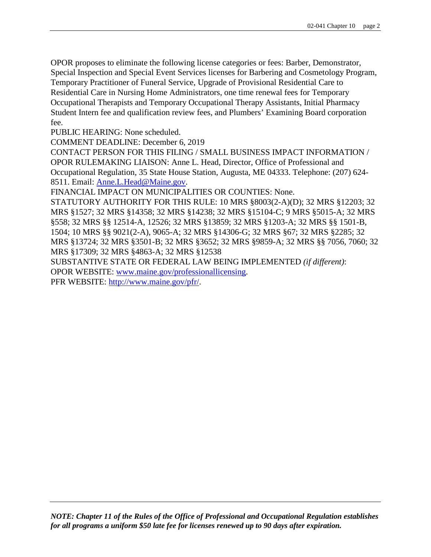OPOR proposes to eliminate the following license categories or fees: Barber, Demonstrator, Special Inspection and Special Event Services licenses for Barbering and Cosmetology Program, Temporary Practitioner of Funeral Service, Upgrade of Provisional Residential Care to Residential Care in Nursing Home Administrators, one time renewal fees for Temporary Occupational Therapists and Temporary Occupational Therapy Assistants, Initial Pharmacy Student Intern fee and qualification review fees, and Plumbers' Examining Board corporation fee.

PUBLIC HEARING: None scheduled.

COMMENT DEADLINE: December 6, 2019

CONTACT PERSON FOR THIS FILING / SMALL BUSINESS IMPACT INFORMATION / OPOR RULEMAKING LIAISON: Anne L. Head, Director, Office of Professional and Occupational Regulation, 35 State House Station, Augusta, ME 04333. Telephone: (207) 624- 8511. Email: [Anne.L.Head@Maine.gov.](mailto:Anne.L.Head@Maine.gov)

FINANCIAL IMPACT ON MUNICIPALITIES OR COUNTIES: None.

STATUTORY AUTHORITY FOR THIS RULE: 10 MRS §8003(2-A)(D); 32 MRS §12203; 32 MRS §1527; 32 MRS §14358; 32 MRS §14238; 32 MRS §15104-C; 9 MRS §5015-A; 32 MRS §558; 32 MRS §§ 12514-A, 12526; 32 MRS §13859; 32 MRS §1203-A; 32 MRS §§ 1501-B, 1504; 10 MRS §§ 9021(2-A), 9065-A; 32 MRS §14306-G; 32 MRS §67; 32 MRS §2285; 32 MRS §13724; 32 MRS §3501-B; 32 MRS §3652; 32 MRS §9859-A; 32 MRS §§ 7056, 7060; 32 MRS §17309; 32 MRS §4863-A; 32 MRS §12538

SUBSTANTIVE STATE OR FEDERAL LAW BEING IMPLEMENTED *(if different)*: OPOR WEBSITE: [www.maine.gov/professionallicensing.](http://www.maine.gov/professionallicensing)

PFR WEBSITE: [http://www.maine.gov/pfr/.](http://www.maine.gov/pfr/)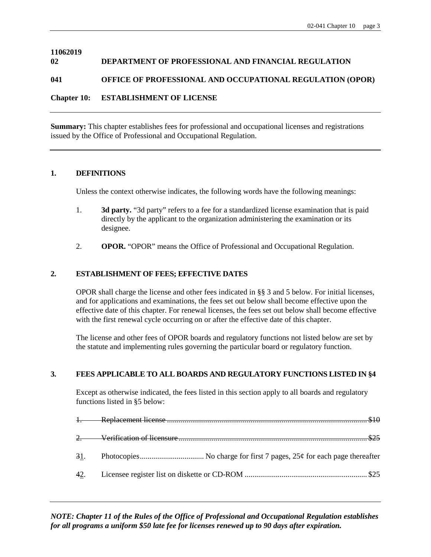#### **11062019 02 DEPARTMENT OF PROFESSIONAL AND FINANCIAL REGULATION**

### **041 OFFICE OF PROFESSIONAL AND OCCUPATIONAL REGULATION (OPOR)**

### **Chapter 10: ESTABLISHMENT OF LICENSE**

**Summary:** This chapter establishes fees for professional and occupational licenses and registrations issued by the Office of Professional and Occupational Regulation.

#### **1. DEFINITIONS**

Unless the context otherwise indicates, the following words have the following meanings:

- 1. **3d party.** "3d party" refers to a fee for a standardized license examination that is paid directly by the applicant to the organization administering the examination or its designee.
- 2. **OPOR.** "OPOR" means the Office of Professional and Occupational Regulation.

#### **2. ESTABLISHMENT OF FEES; EFFECTIVE DATES**

OPOR shall charge the license and other fees indicated in §§ 3 and 5 below. For initial licenses, and for applications and examinations, the fees set out below shall become effective upon the effective date of this chapter. For renewal licenses, the fees set out below shall become effective with the first renewal cycle occurring on or after the effective date of this chapter.

The license and other fees of OPOR boards and regulatory functions not listed below are set by the statute and implementing rules governing the particular board or regulatory function.

#### **3. FEES APPLICABLE TO ALL BOARDS AND REGULATORY FUNCTIONS LISTED IN §4**

Except as otherwise indicated, the fees listed in this section apply to all boards and regulatory functions listed in §5 below: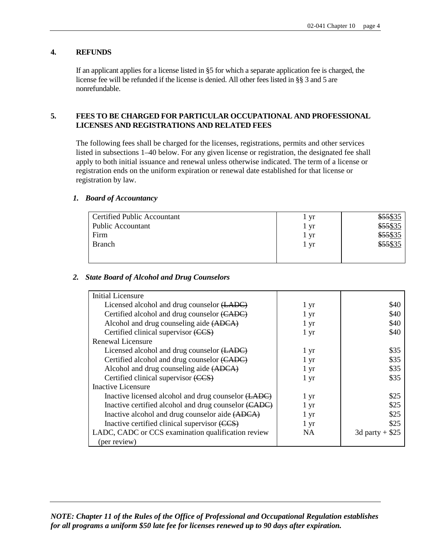### **4. REFUNDS**

If an applicant applies for a license listed in §5 for which a separate application fee is charged, the license fee will be refunded if the license is denied. All other fees listed in §§ 3 and 5 are nonrefundable.

#### **5. FEES TO BE CHARGED FOR PARTICULAR OCCUPATIONAL AND PROFESSIONAL LICENSES AND REGISTRATIONS AND RELATED FEES**

The following fees shall be charged for the licenses, registrations, permits and other services listed in subsections 1–40 below. For any given license or registration, the designated fee shall apply to both initial issuance and renewal unless otherwise indicated. The term of a license or registration ends on the uniform expiration or renewal date established for that license or registration by law.

#### *1. Board of Accountancy*

| <b>Certified Public Accountant</b> | yr   | \$55\$35 |
|------------------------------------|------|----------|
| <b>Public Accountant</b>           | vr   | \$55\$35 |
| Firm                               | 1 yr | \$55\$35 |
| <b>Branch</b>                      | l yr | \$55\$35 |
|                                    |      |          |
|                                    |      |          |

#### *2. State Board of Alcohol and Drug Counselors*

| <b>Initial Licensure</b>                             |                   |                  |
|------------------------------------------------------|-------------------|------------------|
| Licensed alcohol and drug counselor (LADC)           | 1 yr              | \$40             |
| Certified alcohol and drug counselor (CADC)          | 1 yr              | \$40             |
| Alcohol and drug counseling aide (ADCA)              | 1 <sub>yr</sub>   | \$40             |
| Certified clinical supervisor (CCS)                  | 1 yr              | \$40             |
| Renewal Licensure                                    |                   |                  |
| Licensed alcohol and drug counselor (LADC)           | $1 \,\mathrm{yr}$ | \$35             |
| Certified alcohol and drug counselor (CADC)          | 1 yr              | \$35             |
| Alcohol and drug counseling aide (ADCA)              | 1 yr              | \$35             |
| Certified clinical supervisor (CCS)                  | 1 <sub>yr</sub>   | \$35             |
| Inactive Licensure                                   |                   |                  |
| Inactive licensed alcohol and drug counselor (LADC)  | 1 yr              | \$25             |
| Inactive certified alcohol and drug counselor (CADC) | 1 yr              | \$25             |
| Inactive alcohol and drug counselor aide (ADCA)      | 1 yr              | \$25             |
| Inactive certified clinical supervisor (CCS)         | 1 yr              | \$25             |
| LADC, CADC or CCS examination qualification review   | NA                | 3d party + $$25$ |
| (per review)                                         |                   |                  |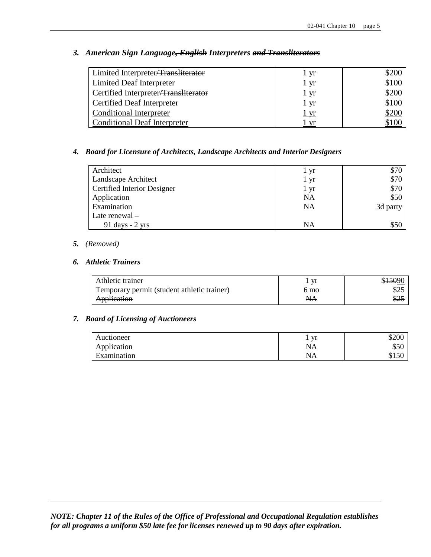| Limited Interpreter/Transliterator   | 1 yr        | \$200        |
|--------------------------------------|-------------|--------------|
| Limited Deaf Interpreter             | 1 yr        | \$100        |
| Certified Interpreter/Transliterator | 1 yr        | \$200        |
| Certified Deaf Interpreter           | 1 yr        | \$100        |
| <b>Conditional Interpreter</b>       | <u>l yr</u> | <u>\$200</u> |
| <b>Conditional Deaf Interpreter</b>  | vr          |              |

# *3. American Sign Language, English Interpreters and Transliterators*

### *4. Board for Licensure of Architects, Landscape Architects and Interior Designers*

| Architect                          | 1 yr | \$70     |
|------------------------------------|------|----------|
| Landscape Architect                | l yr | \$70     |
| <b>Certified Interior Designer</b> | 1 yr | \$70     |
| Application                        | NA   | \$50     |
| Examination                        | NA   | 3d party |
| Late renewal $-$                   |      |          |
| $91 \text{ days} - 2 \text{ yrs}$  | NA   | \$50     |

#### *5. (Removed)*

### *6. Athletic Trainers*

| Athletic trainer                            | vr   | \$ <del>150</del> 90 |
|---------------------------------------------|------|----------------------|
| Temporary permit (student athletic trainer) | 6 mo | \$25                 |
| Application                                 | NА   | - \$2.               |

# *7. Board of Licensing of Auctioneers*

| Auctioneer  | vr | \$200 |
|-------------|----|-------|
| Application | ΝA | \$50  |
| Examination | ΝA |       |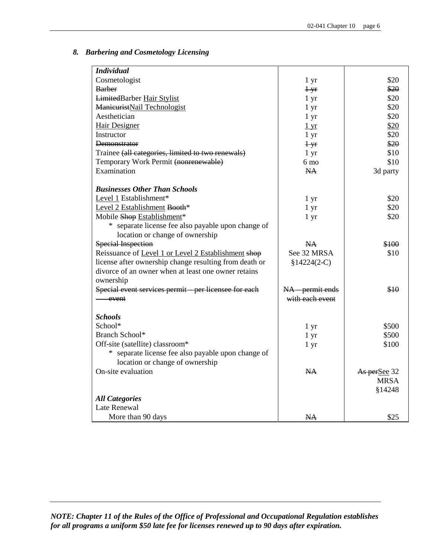#### *8. Barbering and Cosmetology Licensing*

| <b>Individual</b>                                      |                 |              |
|--------------------------------------------------------|-----------------|--------------|
| Cosmetologist                                          | $1 \, yr$       | \$20         |
| <b>Barber</b>                                          | $+yr$           | \$20         |
| LimitedBarber Hair Stylist                             | 1 yr            | \$20         |
| ManieuristNail Technologist                            | $1 \, yr$       | \$20         |
| Aesthetician                                           | $1 \, yr$       | \$20         |
| Hair Designer                                          | $1 \mathrm{yr}$ | \$20         |
| Instructor                                             | $1 \mathrm{yr}$ | \$20         |
| Demonstrator                                           | $+yr$           | \$20         |
| Trainee (all categories, limited to two renewals)      | 1 <sub>yr</sub> | \$10         |
| Temporary Work Permit (nonrenewable)                   | $6 \text{ mo}$  | \$10         |
| Examination                                            | <b>NA</b>       | 3d party     |
|                                                        |                 |              |
| <b>Businesses Other Than Schools</b>                   |                 |              |
| Level 1 Establishment*                                 | 1 yr            | \$20         |
| Level 2 Establishment Booth*                           | 1 <sub>yr</sub> | \$20         |
| Mobile Shop Establishment*                             | 1 <sub>yr</sub> | \$20         |
| * separate license fee also payable upon change of     |                 |              |
| location or change of ownership                        |                 |              |
| <b>Special Inspection</b>                              | <b>NA</b>       | \$100        |
| Reissuance of Level 1 or Level 2 Establishment shop    | See 32 MRSA     | \$10         |
| license after ownership change resulting from death or | $§14224(2-C)$   |              |
| divorce of an owner when at least one owner retains    |                 |              |
| ownership                                              |                 |              |
| Special event services permit - per licensee for each  | NA permit ends  | \$10         |
| event                                                  | with each event |              |
|                                                        |                 |              |
| <b>Schools</b>                                         |                 |              |
| School*                                                | 1 yr            | \$500        |
| <b>Branch School*</b>                                  | $1 \, yr$       | \$500        |
| Off-site (satellite) classroom*                        | 1 <sub>yr</sub> | \$100        |
| * separate license fee also payable upon change of     |                 |              |
| location or change of ownership                        |                 |              |
| On-site evaluation                                     | NA              | As perSee 32 |
|                                                        |                 | <b>MRSA</b>  |
|                                                        |                 | §14248       |
| <b>All Categories</b>                                  |                 |              |
| Late Renewal                                           |                 |              |
| More than 90 days                                      | <b>NA</b>       | \$25         |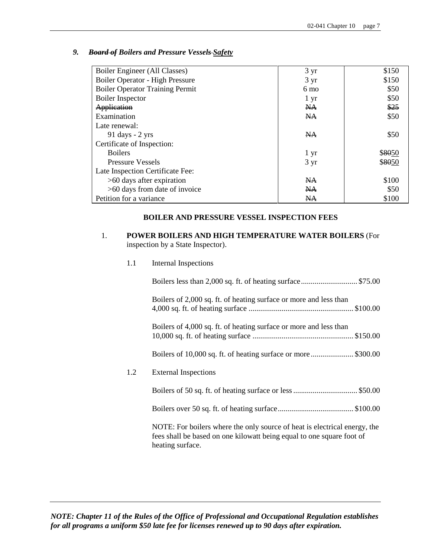| 9. | <b>Board of Boilers and Pressure Vessels-Safety</b> |  |  |
|----|-----------------------------------------------------|--|--|
|----|-----------------------------------------------------|--|--|

| Boiler Engineer (All Classes)          | $3 \text{ yr}$ | \$150  |
|----------------------------------------|----------------|--------|
| Boiler Operator - High Pressure        | $3 \text{ yr}$ | \$150  |
| <b>Boiler Operator Training Permit</b> | 6 mo           | \$50   |
| <b>Boiler</b> Inspector                | $1 \, yr$      | \$50   |
| Application                            | N <sub>A</sub> | \$25   |
| Examination                            | $NA$           | \$50   |
| Late renewal:                          |                |        |
| 91 days $-2$ yrs                       | <b>NA</b>      | \$50   |
| Certificate of Inspection:             |                |        |
| <b>Boilers</b>                         | 1 yr           | \$8050 |
| <b>Pressure Vessels</b>                | $3 \text{ yr}$ | \$8050 |
| Late Inspection Certificate Fee:       |                |        |
| $>60$ days after expiration            | NA             | \$100  |
| >60 days from date of invoice          | NA             | \$50   |
| Petition for a variance                | NA             | \$100  |

#### **BOILER AND PRESSURE VESSEL INSPECTION FEES**

- 1. **POWER BOILERS AND HIGH TEMPERATURE WATER BOILERS** (For inspection by a State Inspector).
	- 1.1 Internal Inspections

|     | Boilers of 2,000 sq. ft. of heating surface or more and less than                                                                                                      |
|-----|------------------------------------------------------------------------------------------------------------------------------------------------------------------------|
|     | Boilers of 4,000 sq. ft. of heating surface or more and less than                                                                                                      |
|     | Boilers of 10,000 sq. ft. of heating surface or more\$300.00                                                                                                           |
| 1.2 | <b>External Inspections</b>                                                                                                                                            |
|     |                                                                                                                                                                        |
|     |                                                                                                                                                                        |
|     | NOTE: For boilers where the only source of heat is electrical energy, the<br>fees shall be based on one kilowatt being equal to one square foot of<br>heating surface. |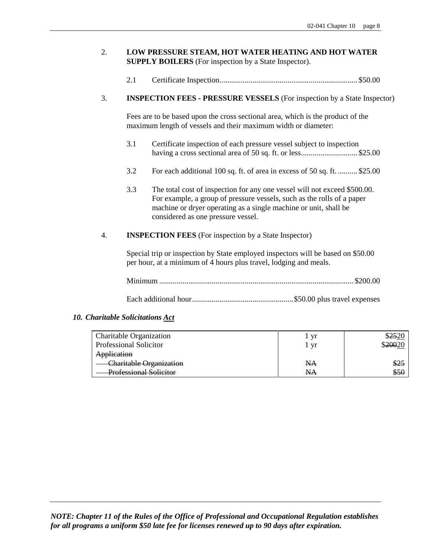### 2. **LOW PRESSURE STEAM, HOT WATER HEATING AND HOT WATER SUPPLY BOILERS** (For inspection by a State Inspector).

2.1 Certificate Inspection....................................................................... \$50.00

#### 3. **INSPECTION FEES - PRESSURE VESSELS** (For inspection by a State Inspector)

Fees are to be based upon the cross sectional area, which is the product of the maximum length of vessels and their maximum width or diameter:

- 3.1 Certificate inspection of each pressure vessel subject to inspection having a cross sectional area of 50 sq. ft. or less.................................. \$25.00
- 3.2 For each additional 100 sq. ft. of area in excess of 50 sq. ft. .......... \$25.00
- 3.3 The total cost of inspection for any one vessel will not exceed \$500.00. For example, a group of pressure vessels, such as the rolls of a paper machine or dryer operating as a single machine or unit, shall be considered as one pressure vessel.

#### 4. **INSPECTION FEES** (For inspection by a State Inspector)

Special trip or inspection by State employed inspectors will be based on \$50.00 per hour, at a minimum of 4 hours plus travel, lodging and meals.

Each additional hour....................................................\$50.00 plus travel expenses

#### *10. Charitable Solicitations Act*

| <b>Charitable Organization</b>                       | - Vr |             |
|------------------------------------------------------|------|-------------|
| <b>Professional Solicitor</b>                        | Vľ   | \$20020     |
| Application                                          |      |             |
| Charitable Organization                              | NА   | <u>\$25</u> |
| <b>Professional Solicitor</b><br>TOTODIOIRI DOIIOIRI | NА   | ৩৩৬         |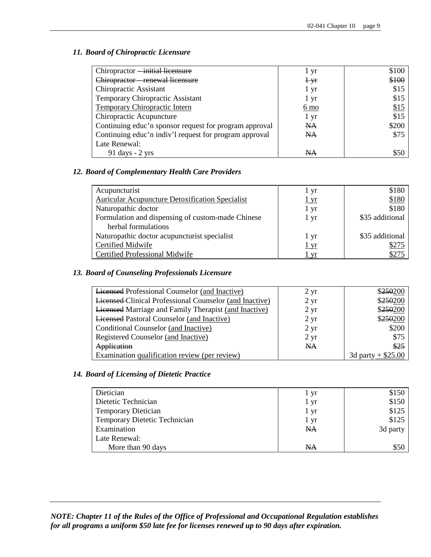### *11. Board of Chiropractic Licensure*

| Chiropractor -initial licensure                        | 1 yr            | \$100       |
|--------------------------------------------------------|-----------------|-------------|
| Chiropractor renewal licensure                         | $+$ yr          | \$100       |
| Chiropractic Assistant                                 | 1 yr            | \$15        |
| Temporary Chiropractic Assistant                       | 1 yr            | \$15        |
| <b>Temporary Chiropractic Intern</b>                   | <u>6 mo</u>     | <u>\$15</u> |
| Chiropractic Acupuncture                               | $1 \mathrm{yr}$ | \$15        |
| Continuing educ'n sponsor request for program approval | NA              | \$200       |
| Continuing educ'n indiv'l request for program approval | NA              | \$75        |
| Late Renewal:                                          |                 |             |
| $91 \text{ days} - 2 \text{ yrs}$                      | NА              | S50         |

### *12. Board of Complementary Health Care Providers*

| Acupuncturist                                          | 1 yr        | \$180           |
|--------------------------------------------------------|-------------|-----------------|
| <b>Auricular Acupuncture Detoxification Specialist</b> | <u>1 yr</u> | \$180           |
| Naturopathic doctor                                    | 1 yr        | \$180           |
| Formulation and dispensing of custom-made Chinese      | l yr        | \$35 additional |
| herbal formulations                                    |             |                 |
| Naturopathic doctor acupuncturist specialist           | 1 yr        | \$35 additional |
| Certified Midwife                                      | <u>1 yr</u> | \$275           |
| <b>Certified Professional Midwife</b>                  | vr          | \$275           |

### *13. Board of Counseling Professionals Licensure*

| <b>Licensed Professional Counselor (and Inactive)</b>          | $2 \text{ yr}$    | \$250200            |
|----------------------------------------------------------------|-------------------|---------------------|
| <b>Licensed-Clinical Professional Counselor (and Inactive)</b> | $2 \text{ yr}$    | \$250200            |
| <b>Licensed Marriage and Family Therapist (and Inactive)</b>   | $2 \,\mathrm{yr}$ | \$250200            |
| <b>Licensed Pastoral Counselor (and Inactive)</b>              | $2 \,\mathrm{yr}$ | \$250200            |
| Conditional Counselor (and Inactive)                           | $2 \text{ yr}$    | \$200               |
| Registered Counselor (and Inactive)                            | $2 \text{ yr}$    | \$75                |
| Application                                                    | <b>NA</b>         | \$25                |
| Examination qualification review (per review)                  |                   | 3d party + $$25.00$ |

#### *14. Board of Licensing of Dietetic Practice*

| Dietician                     | 1 yr      | \$150    |
|-------------------------------|-----------|----------|
| Dietetic Technician           | 1 yr      | \$150    |
| <b>Temporary Dietician</b>    | 1 yr      | \$125    |
| Temporary Dietetic Technician | 1 yr      | \$125    |
| Examination                   | <b>NA</b> | 3d party |
| Late Renewal:                 |           |          |
| More than 90 days             | <b>NA</b> | \$50     |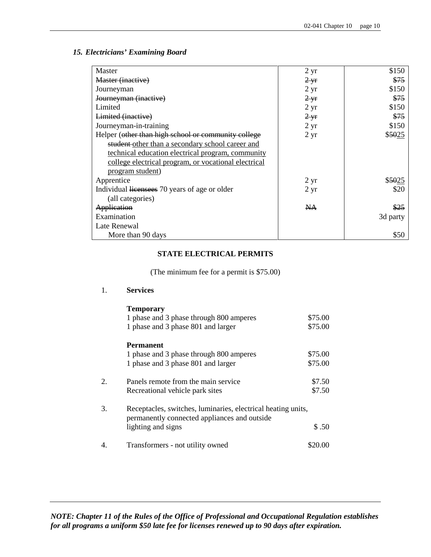#### *15. Electricians' Examining Board*

| Master                                               | $2 \,\mathrm{yr}$ | \$150    |
|------------------------------------------------------|-------------------|----------|
| Master (inactive)                                    | $2 \text{ yr}$    | \$75     |
| Journeyman                                           | $2 \text{ yr}$    | \$150    |
| Journeyman (inactive)                                | $2 - yr$          | \$75     |
| Limited                                              | $2 \text{ yr}$    | \$150    |
| Limited (inactive)                                   | $2 \text{ yr}$    | \$75     |
| Journeyman-in-training                               | $2 \text{ yr}$    | \$150    |
| Helper (other than high school or community college  | $2 \,\mathrm{yr}$ | \$5025   |
| student-other than a secondary school career and     |                   |          |
| technical education electrical program, community    |                   |          |
| college electrical program, or vocational electrical |                   |          |
| program student)                                     |                   |          |
| Apprentice                                           | $2 \,\mathrm{yr}$ | \$5025   |
| Individual licensees 70 years of age or older        | $2 \text{ yr}$    | \$20     |
| (all categories)                                     |                   |          |
| Application                                          | NA                | \$25     |
| Examination                                          |                   | 3d party |
| Late Renewal                                         |                   |          |
| More than 90 days                                    |                   | \$50     |

### **STATE ELECTRICAL PERMITS**

(The minimum fee for a permit is \$75.00)

### 1. **Services**

|    | <b>Temporary</b>                                                                                             |         |
|----|--------------------------------------------------------------------------------------------------------------|---------|
|    | 1 phase and 3 phase through 800 amperes                                                                      | \$75.00 |
|    | 1 phase and 3 phase 801 and larger                                                                           | \$75.00 |
|    | <b>Permanent</b>                                                                                             |         |
|    | 1 phase and 3 phase through 800 amperes                                                                      | \$75.00 |
|    | 1 phase and 3 phase 801 and larger                                                                           | \$75.00 |
| 2. | Panels remote from the main service                                                                          | \$7.50  |
|    | Recreational vehicle park sites                                                                              | \$7.50  |
| 3. | Receptacles, switches, luminaries, electrical heating units,<br>permanently connected appliances and outside |         |
|    | lighting and signs                                                                                           | \$.50   |
|    | Transformers - not utility owned                                                                             | \$20.00 |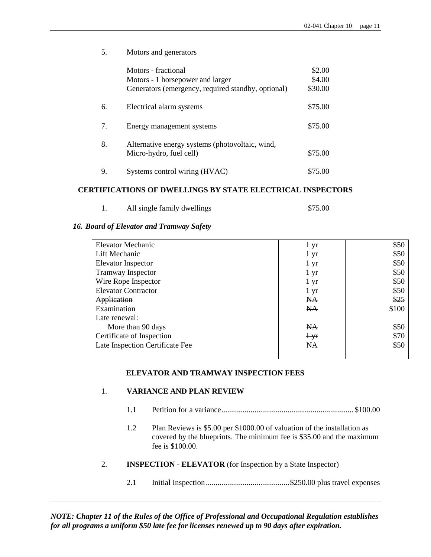5. Motors and generators Motors - fractional \$2.00 Motors - 1 horsepower and larger \$4.00 Generators (emergency, required standby, optional) \$30.00 6. Electrical alarm systems \$75.00 7. Energy management systems \$75.00 8. Alternative energy systems (photovoltaic, wind, Micro-hydro, fuel cell)  $$75.00$ 9. Systems control wiring (HVAC) \$75.00

#### **CERTIFICATIONS OF DWELLINGS BY STATE ELECTRICAL INSPECTORS**

| All single family dwellings | \$75.00 |
|-----------------------------|---------|
|                             |         |

#### *16. Board of Elevator and Tramway Safety*

| <b>Elevator Mechanic</b>        | $1 \, yr$         | \$50  |
|---------------------------------|-------------------|-------|
| Lift Mechanic                   | $1 \, yr$         | \$50  |
| Elevator Inspector              | $1 \, yr$         | \$50  |
| <b>Tramway Inspector</b>        | 1 yr              | \$50  |
| Wire Rope Inspector             | $1 \, yr$         | \$50  |
| <b>Elevator Contractor</b>      | $1 \,\mathrm{yr}$ | \$50  |
| Application                     | <b>NA</b>         | \$25  |
| Examination                     | <b>NA</b>         | \$100 |
| Late renewal:                   |                   |       |
| More than 90 days               | <b>NA</b>         | \$50  |
| Certificate of Inspection       | $+yr$             | \$70  |
| Late Inspection Certificate Fee | NA                | \$50  |
|                                 |                   |       |

#### **ELEVATOR AND TRAMWAY INSPECTION FEES**

#### 1. **VARIANCE AND PLAN REVIEW**

- 1.1 Petition for a variance.................................................................... \$100.00
- 1.2 Plan Reviews is \$5.00 per \$1000.00 of valuation of the installation as covered by the blueprints. The minimum fee is \$35.00 and the maximum fee is \$100.00.

### 2. **INSPECTION - ELEVATOR** (for Inspection by a State Inspector)

2.1 Initial Inspection ...........................................\$250.00 plus travel expenses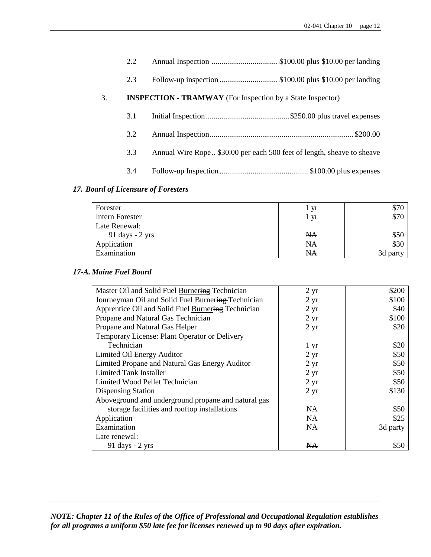|    | 2.2 |                                                                        |
|----|-----|------------------------------------------------------------------------|
|    | 2.3 | Follow-up inspection \$100.00 plus \$10.00 per landing                 |
| 3. |     | <b>INSPECTION - TRAMWAY</b> (For Inspection by a State Inspector)      |
|    | 3.1 |                                                                        |
|    | 3.2 |                                                                        |
|    | 3.3 | Annual Wire Rope \$30.00 per each 500 feet of length, sheave to sheave |
|    | 3.4 |                                                                        |

# *17. Board of Licensure of Foresters*

| Forester                          | vr   | \$70     |
|-----------------------------------|------|----------|
| Intern Forester                   | 1 yr | \$70     |
| Late Renewal:                     |      |          |
| $91 \text{ days} - 2 \text{ yrs}$ | NA.  | \$50     |
| Application                       | NA.  | \$30     |
| Examination                       | NA   | 3d party |

# *17-A. Maine Fuel Board*

| Master Oil and Solid Fuel Burnering Technician      | $2 \, yr$      | \$200    |
|-----------------------------------------------------|----------------|----------|
| Journeyman Oil and Solid Fuel Burnering Technician  | $2 \text{ yr}$ | \$100    |
| Apprentice Oil and Solid Fuel Burnering Technician  | $2 \text{ yr}$ | \$40     |
| Propane and Natural Gas Technician                  | $2 \text{ yr}$ | \$100    |
| Propane and Natural Gas Helper                      | $2 \text{ yr}$ | \$20     |
| Temporary License: Plant Operator or Delivery       |                |          |
| Technician                                          | 1 yr           | \$20     |
| Limited Oil Energy Auditor                          | $2 \text{ yr}$ | \$50     |
| Limited Propane and Natural Gas Energy Auditor      | $2 \text{ yr}$ | \$50     |
| Limited Tank Installer                              | $2 \text{ yr}$ | \$50     |
| Limited Wood Pellet Technician                      | $2 \text{ yr}$ | \$50     |
| Dispensing Station                                  | $2 \text{ yr}$ | \$130    |
| Aboveground and underground propane and natural gas |                |          |
| storage facilities and rooftop installations        | NA             | \$50     |
| Application                                         | NA.            | \$25     |
| Examination                                         | N <sub>A</sub> | 3d party |
| Late renewal:                                       |                |          |
| 91 days $-2$ yrs                                    | NА             | \$50     |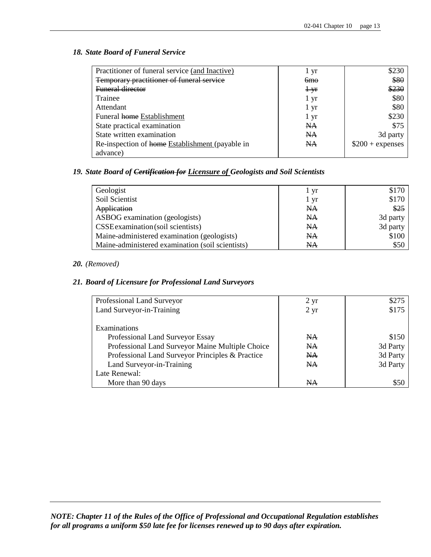#### *18. State Board of Funeral Service*

| Practitioner of funeral service (and Inactive)  | 1 yr           | \$230             |
|-------------------------------------------------|----------------|-------------------|
| Temporary practitioner of funeral service       | <del>6mo</del> | \$80              |
| <b>Funeral director</b>                         | $+yr$          | \$230             |
| Trainee                                         | 1 yr           | \$80              |
| Attendant                                       | 1 yr           | \$80              |
| Funeral home Establishment                      | 1 yr           | \$230             |
| State practical examination                     | NA             | \$75              |
| State written examination                       | NA             | 3d party          |
| Re-inspection of home Establishment (payable in | <b>NA</b>      | $$200 + expenses$ |
| advance)                                        |                |                   |

### *19. State Board of Certification for Licensure of Geologists and Soil Scientists*

| Geologist                                        | 1 yr      | \$170    |
|--------------------------------------------------|-----------|----------|
| Soil Scientist                                   | 1 yr      | \$170    |
| Application                                      | NA        | \$25     |
| ASBOG examination (geologists)                   | NA        | 3d party |
| CSSE examination (soil scientists)               | <b>NA</b> | 3d party |
| Maine-administered examination (geologists)      | NA        | \$100    |
| Maine-administered examination (soil scientists) | <b>NA</b> | \$50     |

### *20. (Removed)*

### *21. Board of Licensure for Professional Land Surveyors*

| Professional Land Surveyor                       | $2 \,\mathrm{yr}$ | \$275    |
|--------------------------------------------------|-------------------|----------|
| Land Surveyor-in-Training                        | $2 \text{ yr}$    | \$175    |
|                                                  |                   |          |
| Examinations                                     |                   |          |
| Professional Land Surveyor Essay                 | N <sub>A</sub>    | \$150    |
| Professional Land Surveyor Maine Multiple Choice | N <sub>A</sub>    | 3d Party |
| Professional Land Surveyor Principles & Practice | N <sub>A</sub>    | 3d Party |
| Land Surveyor-in-Training                        | <b>NA</b>         | 3d Party |
| Late Renewal:                                    |                   |          |
| More than 90 days                                | NA                | \$50     |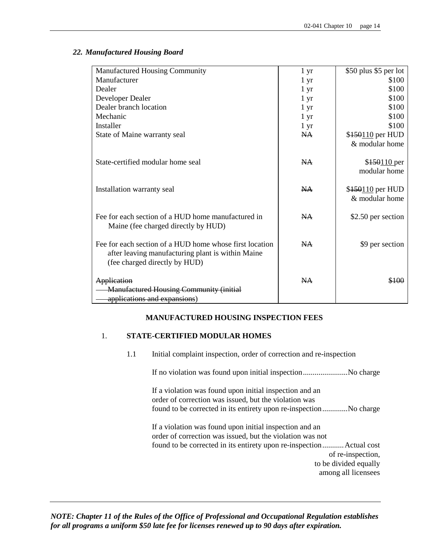| Manufactured Housing Community                          | 1 <sub>yr</sub> | \$50 plus \$5 per lot |
|---------------------------------------------------------|-----------------|-----------------------|
| Manufacturer                                            | 1 <sub>yr</sub> | \$100                 |
| Dealer                                                  | 1 <sub>yr</sub> | \$100                 |
| Developer Dealer                                        | 1 <sub>yr</sub> | \$100                 |
| Dealer branch location                                  | $1 \mathrm{yr}$ | \$100                 |
| Mechanic                                                | 1 <sub>yr</sub> | \$100                 |
| Installer                                               | $1 \mathrm{yr}$ | \$100                 |
| State of Maine warranty seal                            | NA              | \$150110 per HUD      |
|                                                         |                 | & modular home        |
|                                                         |                 |                       |
| State-certified modular home seal                       | NA              | \$150110 per          |
|                                                         |                 | modular home          |
|                                                         |                 |                       |
| Installation warranty seal                              | NA              | \$150110 per HUD      |
|                                                         |                 | & modular home        |
| Fee for each section of a HUD home manufactured in      | NA              |                       |
| Maine (fee charged directly by HUD)                     |                 | \$2.50 per section    |
|                                                         |                 |                       |
| Fee for each section of a HUD home whose first location | NA              | \$9 per section       |
| after leaving manufacturing plant is within Maine       |                 |                       |
| (fee charged directly by HUD)                           |                 |                       |
|                                                         |                 |                       |
| Application                                             | NA              |                       |
| <b>Manufactured Housing Community (initial</b>          |                 |                       |
| applications and expansions)                            |                 |                       |
|                                                         |                 |                       |

### *22. Manufactured Housing Board*

# **MANUFACTURED HOUSING INSPECTION FEES**

#### 1. **STATE-CERTIFIED MODULAR HOMES**

1.1 Initial complaint inspection, order of correction and re-inspection

If no violation was found upon initial inspection.......................No charge

If a violation was found upon initial inspection and an order of correction was issued, but the violation was found to be corrected in its entirety upon re-inspection.............No charge

If a violation was found upon initial inspection and an order of correction was issued, but the violation was not found to be corrected in its entirety upon re-inspection...........Actual cost of re-inspection, to be divided equally among all licensees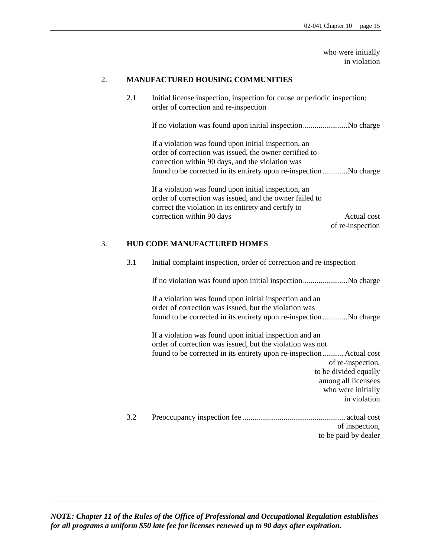who were initially in violation

#### 2. **MANUFACTURED HOUSING COMMUNITIES**

2.1 Initial license inspection, inspection for cause or periodic inspection; order of correction and re-inspection

If no violation was found upon initial inspection.......................No charge

If a violation was found upon initial inspection, an order of correction was issued, the owner certified to correction within 90 days, and the violation was found to be corrected in its entirety upon re-inspection.............No charge

If a violation was found upon initial inspection, an order of correction was issued, and the owner failed to correct the violation in its entirety and certify to correction within 90 days Actual cost

of re-inspection

#### 3. **HUD CODE MANUFACTURED HOMES**

3.1 Initial complaint inspection, order of correction and re-inspection

If no violation was found upon initial inspection.......................No charge

If a violation was found upon initial inspection and an order of correction was issued, but the violation was found to be corrected in its entirety upon re-inspection.............No charge

If a violation was found upon initial inspection and an order of correction was issued, but the violation was not found to be corrected in its entirety upon re-inspection...........Actual cost of re-inspection, to be divided equally among all licensees who were initially in violation

3.2 Preoccupancy inspection fee ..................................................... actual cost of inspection, to be paid by dealer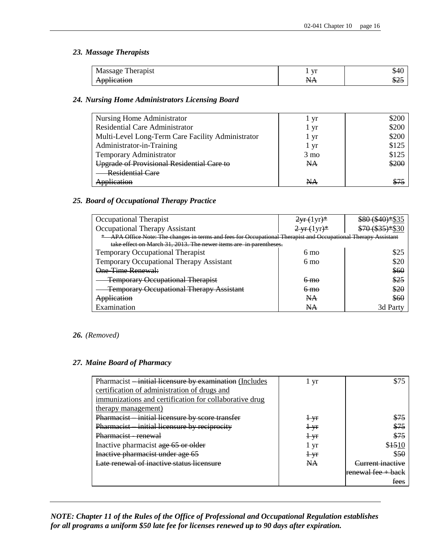### *23. Massage Therapists*

| Therapist<br>Massage | $\mathbf{V}$  | 54U |
|----------------------|---------------|-----|
| Application          | Л.<br>1 V I X | ঌ∠∋ |

#### *24. Nursing Home Administrators Licensing Board*

| Nursing Home Administrator                        | 1 yr           | \$200 |
|---------------------------------------------------|----------------|-------|
| <b>Residential Care Administrator</b>             | 1 yr           | \$200 |
| Multi-Level Long-Term Care Facility Administrator | 1 yr           | \$200 |
| Administrator-in-Training                         | 1 yr           | \$125 |
| Temporary Administrator                           | $3 \text{ mo}$ | \$125 |
| Upgrade of Provisional Residential Care to        | NA             | \$200 |
| <b>Residential Care</b>                           |                |       |
| A <del>pplication</del>                           | NA             |       |

#### *25. Board of Occupational Therapy Practice*

| Occupational Therapist                                                                                       | $2yr(1yr)^*$                              | \$80 (\$40)*  |
|--------------------------------------------------------------------------------------------------------------|-------------------------------------------|---------------|
| Occupational Therapy Assistant                                                                               | $2 \, \text{yr} \cdot (1 \, \text{yr})^*$ | ¢7010251*\$30 |
| APA Office Note: The changes in terms and fees for Occupational Therapist and Occupational Therapy Assistant |                                           |               |
| take effect on March 31, 2013. The newer items are in parentheses.                                           |                                           |               |
| <b>Temporary Occupational Therapist</b>                                                                      | $6 \text{ mo}$                            |               |
| <b>Temporary Occupational Therapy Assistant</b>                                                              | $6 \text{ mo}$                            |               |
| One-Time Renewal:                                                                                            |                                           | \$60          |
| <b>Temporary Occupational Therapist</b>                                                                      | <del>6 mo</del>                           | \$25          |
| <b>Temporary Occupational Therapy Assistant</b>                                                              | <del>6 mo</del>                           | \$20          |
| Application                                                                                                  | <b>NA</b>                                 | \$60          |
| Examination                                                                                                  | NА                                        | 3d Party      |

#### *26. (Removed)*

#### *27. Maine Board of Pharmacy*

| Pharmacist —initial licensure by examination (Includes | 1 yr      | \$75                        |
|--------------------------------------------------------|-----------|-----------------------------|
| certification of administration of drugs and           |           |                             |
| immunizations and certification for collaborative drug |           |                             |
| therapy management)                                    |           |                             |
| Pharmacist initial licensure by score transfer         | $+$ yr    | \$75                        |
| Pharmacist initial licensure by reciprocity            | $+yr$     | \$75                        |
| Pharmacist - renewal                                   | $+yr$     | \$75                        |
| Inactive pharmacist age 65 or older                    | 1 yr      | \$1510                      |
| Inactive pharmacist under age 65                       | $+yr$     | \$50                        |
| Late renewal of inactive status licensure              | <b>NA</b> | <del>`urrent inactive</del> |
|                                                        |           | renewal fee $+$ back        |
|                                                        |           | fees                        |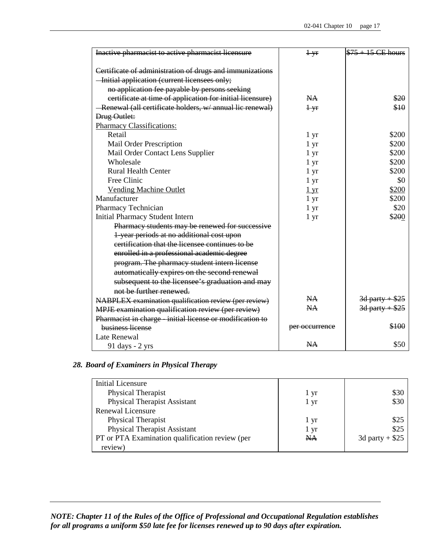| Inactive pharmacist to active pharmacist licensure         | $+yr$           | $$75 + 15$ CE hours        |
|------------------------------------------------------------|-----------------|----------------------------|
|                                                            |                 |                            |
| Certificate of administration of drugs and immunizations   |                 |                            |
| - Initial application (current licensees only;             |                 |                            |
| no application fee payable by persons seeking              |                 |                            |
| certificate at time of application for initial licensure)  | <b>NA</b>       | \$20                       |
| - Renewal (all certificate holders, w/ annual lic renewal) | $+$ yr          | \$10                       |
| Drug Outlet:                                               |                 |                            |
| <b>Pharmacy Classifications:</b>                           |                 |                            |
| Retail                                                     | 1 <sub>yr</sub> | \$200                      |
| Mail Order Prescription                                    | 1 yr            | \$200                      |
| Mail Order Contact Lens Supplier                           | 1 yr            | \$200                      |
| Wholesale                                                  | 1 yr            | \$200                      |
| <b>Rural Health Center</b>                                 | 1 yr            | \$200                      |
| Free Clinic                                                | 1 yr            | \$0                        |
| <b>Vending Machine Outlet</b>                              | $1 \mathrm{yr}$ | \$200                      |
| Manufacturer                                               | 1 <sub>yr</sub> | \$200                      |
| Pharmacy Technician                                        | 1 <sub>yr</sub> | \$20                       |
| <b>Initial Pharmacy Student Intern</b>                     | 1 yr            | \$200                      |
| Pharmacy students may be renewed for successive            |                 |                            |
| 1-year periods at no additional cost upon                  |                 |                            |
| certification that the licensee continues to be            |                 |                            |
| enrolled in a professional academic degree                 |                 |                            |
| program. The pharmacy student intern license               |                 |                            |
| automatically expires on the second renewal                |                 |                            |
| subsequent to the licensee's graduation and may            |                 |                            |
| not be further renewed.                                    |                 |                            |
| NABPLEX examination qualification review (per review)      | NA.             | <del>3d party + \$25</del> |
| MPJE examination qualification review (per review)         | <b>NA</b>       | $3d$ party + \$25          |
| Pharmacist in charge - initial license or modification to  |                 |                            |
| business license                                           | per occurrence  | \$100                      |
| Late Renewal                                               |                 |                            |
|                                                            | NA.             | \$50                       |
| $91 \text{ days} - 2 \text{ yrs}$                          |                 |                            |

# *28. Board of Examiners in Physical Therapy*

| <b>Initial Licensure</b>                        |      |                  |
|-------------------------------------------------|------|------------------|
| Physical Therapist                              | 1 yr | \$30             |
| <b>Physical Therapist Assistant</b>             | 1 yr | \$30             |
| Renewal Licensure                               |      |                  |
| Physical Therapist                              | 1 yr | \$25             |
| <b>Physical Therapist Assistant</b>             | 1 yr | \$25             |
| PT or PTA Examination qualification review (per | NA   | 3d party + $$25$ |
| review)                                         |      |                  |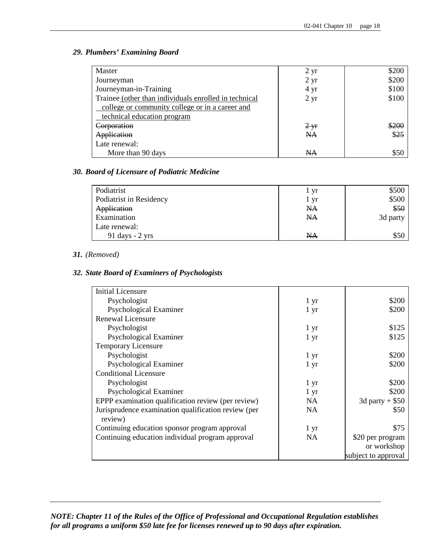### *29. Plumbers' Examining Board*

| Master                                                |                   | \$200 |
|-------------------------------------------------------|-------------------|-------|
|                                                       | $2 \,\mathrm{yr}$ |       |
| Journeyman                                            | $2 \text{ yr}$    | \$200 |
| Journeyman-in-Training                                | 4 yr              | \$100 |
| Trainee (other than individuals enrolled in technical | $2 \, yr$         | \$100 |
| college or community college or in a career and       |                   |       |
| technical education program                           |                   |       |
| Corporation                                           | $2 \text{ yr}$    | \$200 |
| Application                                           | <b>NA</b>         | \$25  |
| Late renewal:                                         |                   |       |
| More than 90 days                                     | NА                | \$50  |

### *30. Board of Licensure of Podiatric Medicine*

| Podiatrist              | yr        | \$500    |
|-------------------------|-----------|----------|
| Podiatrist in Residency | 1 yr      | \$500    |
| Application             | <b>NA</b> | \$50     |
| Examination             | NA        | 3d party |
| Late renewal:           |           |          |
| 91 days $-2$ yrs        | <b>NA</b> | \$50     |

#### *31. (Removed)*

### *32. State Board of Examiners of Psychologists*

| <b>Initial Licensure</b>                                       |                 |                     |
|----------------------------------------------------------------|-----------------|---------------------|
| Psychologist                                                   | 1 <sub>yr</sub> | \$200               |
| Psychological Examiner                                         | 1 <sub>yr</sub> | \$200               |
| <b>Renewal Licensure</b>                                       |                 |                     |
| Psychologist                                                   | 1 yr            | \$125               |
| Psychological Examiner                                         | 1 <sub>yr</sub> | \$125               |
| Temporary Licensure                                            |                 |                     |
| Psychologist                                                   | 1 <sub>yr</sub> | \$200               |
| Psychological Examiner                                         | 1 yr            | \$200               |
| <b>Conditional Licensure</b>                                   |                 |                     |
| Psychologist                                                   | 1 yr            | \$200               |
| Psychological Examiner                                         | 1 yr            | \$200               |
| EPPP examination qualification review (per review)             | <b>NA</b>       | 3d party + $$50$    |
| Jurisprudence examination qualification review (per<br>review) | <b>NA</b>       | \$50                |
| Continuing education sponsor program approval                  | 1 <sub>yr</sub> | \$75                |
| Continuing education individual program approval               | <b>NA</b>       | \$20 per program    |
|                                                                |                 | or workshop         |
|                                                                |                 | subject to approval |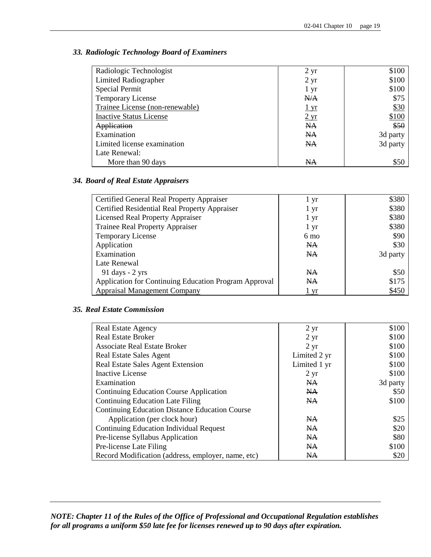#### *33. Radiologic Technology Board of Examiners*

| Radiologic Technologist         | $2 \,\mathrm{yr}$ | \$100    |
|---------------------------------|-------------------|----------|
| <b>Limited Radiographer</b>     | $2 \,\mathrm{yr}$ | \$100    |
| Special Permit                  | $1 \, yr$         | \$100    |
| <b>Temporary License</b>        | N/A               | \$75     |
| Trainee License (non-renewable) | $1 \,\mathrm{yr}$ | \$30     |
| <b>Inactive Status License</b>  | $2 \text{ yr}$    | \$100    |
| Application                     | NA                | \$50     |
| Examination                     | NA                | 3d party |
| Limited license examination     | <b>NA</b>         | 3d party |
| Late Renewal:                   |                   |          |
| More than 90 days               | NA                | \$50     |

# *34. Board of Real Estate Appraisers*

| Certified General Real Property Appraiser             | 1 yr           | \$380    |
|-------------------------------------------------------|----------------|----------|
| Certified Residential Real Property Appraiser         | 1 yr           | \$380    |
| <b>Licensed Real Property Appraiser</b>               | 1 yr           | \$380    |
| <b>Trainee Real Property Appraiser</b>                | 1 yr           | \$380    |
| Temporary License                                     | 6 mo           | \$90     |
| Application                                           | N <sub>A</sub> | \$30     |
| Examination                                           | <b>NA</b>      | 3d party |
| Late Renewal                                          |                |          |
| 91 days $-2$ yrs                                      | <b>NA</b>      | \$50     |
| Application for Continuing Education Program Approval | <b>NA</b>      | \$175    |
| <b>Appraisal Management Company</b>                   | <u>l yr</u>    | \$450    |

#### *35. Real Estate Commission*

| <b>Real Estate Agency</b>                             | $2 \text{ yr}$ | \$100    |
|-------------------------------------------------------|----------------|----------|
| <b>Real Estate Broker</b>                             | $2 \, yr$      | \$100    |
| <b>Associate Real Estate Broker</b>                   | $2 \, yr$      | \$100    |
| Real Estate Sales Agent                               | Limited 2 yr   | \$100    |
| Real Estate Sales Agent Extension                     | Limited 1 yr   | \$100    |
| <b>Inactive License</b>                               | $2 \, yr$      | \$100    |
| Examination                                           | NA             | 3d party |
| <b>Continuing Education Course Application</b>        | N <sub>A</sub> | \$50     |
| <b>Continuing Education Late Filing</b>               | <b>NA</b>      | \$100    |
| <b>Continuing Education Distance Education Course</b> |                |          |
| Application (per clock hour)                          | <b>NA</b>      | \$25     |
| Continuing Education Individual Request               | <b>NA</b>      | \$20     |
| Pre-license Syllabus Application                      | <b>NA</b>      | \$80     |
| Pre-license Late Filing                               | NA             | \$100    |
| Record Modification (address, employer, name, etc)    | NA             | \$20     |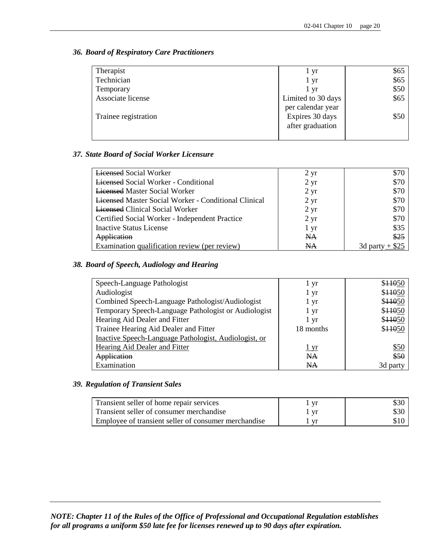### *36. Board of Respiratory Care Practitioners*

| Therapist            | 1 yr               | \$65 |
|----------------------|--------------------|------|
| Technician           | 1 yr               | \$65 |
| Temporary            | 1 yr               | \$50 |
| Associate license    | Limited to 30 days | \$65 |
|                      | per calendar year  |      |
| Trainee registration | Expires 30 days    | \$50 |
|                      | after graduation   |      |
|                      |                    |      |

### *37. State Board of Social Worker Licensure*

| <b>Lieensed Social Worker</b>                               | $2 \text{ yr}$    | \$70              |
|-------------------------------------------------------------|-------------------|-------------------|
| <b>Licensed Social Worker - Conditional</b>                 | $2 \,\mathrm{yr}$ | \$70              |
| <b>Licensed Master Social Worker</b>                        | $2 \text{ yr}$    | \$70              |
| <b>Licensed Master Social Worker - Conditional Clinical</b> | $2 \,\mathrm{yr}$ | \$70              |
| <b>Licensed Clinical Social Worker</b>                      | $2 \text{ yr}$    | \$70              |
| Certified Social Worker - Independent Practice              | $2 \text{ yr}$    | \$70              |
| <b>Inactive Status License</b>                              | 1 yr              | \$35              |
| Application                                                 | NA                | \$25              |
| Examination qualification review (per review)               | NA                | 3d party $+$ \$25 |

### *38. Board of Speech, Audiology and Hearing*

| Speech-Language Pathologist                           | 1 yr      | \$11050  |
|-------------------------------------------------------|-----------|----------|
| Audiologist                                           | 1 yr      | \$11050  |
| Combined Speech-Language Pathologist/Audiologist      | 1 yr      | \$11050  |
| Temporary Speech-Language Pathologist or Audiologist  | 1 yr      | \$11050  |
| Hearing Aid Dealer and Fitter                         | l yr      | \$11050  |
| Trainee Hearing Aid Dealer and Fitter                 | 18 months | \$11050  |
| Inactive Speech-Language Pathologist, Audiologist, or |           |          |
| Hearing Aid Dealer and Fitter                         | 1yr       | \$50     |
| Application                                           | NA        | \$50     |
| Examination                                           | <b>NA</b> | 3d party |

#### *39. Regulation of Transient Sales*

| Transient seller of home repair services             |      |      |
|------------------------------------------------------|------|------|
| Transient seller of consumer merchandise             | - Vr | \$30 |
| Employee of transient seller of consumer merchandise |      |      |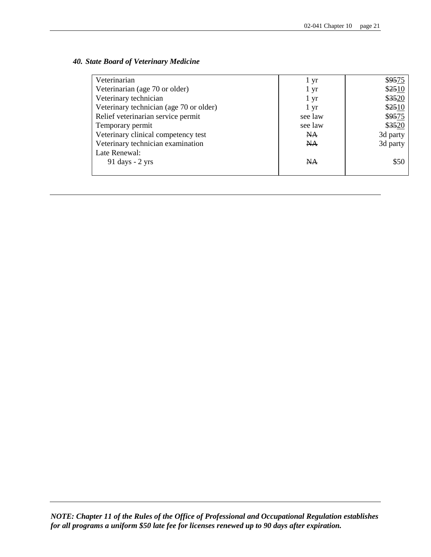### *40. State Board of Veterinary Medicine*

| Veterinarian                            | 1 yr      | \$9575   |
|-----------------------------------------|-----------|----------|
| Veterinarian (age 70 or older)          | 1 yr      | \$2510   |
| Veterinary technician                   | 1 yr      | \$3520   |
| Veterinary technician (age 70 or older) | 1 yr      | \$2510   |
| Relief veterinarian service permit      | see law   | \$9575   |
| Temporary permit                        | see law   | \$3520   |
| Veterinary clinical competency test     | <b>NA</b> | 3d party |
| Veterinary technician examination       | <b>NA</b> | 3d party |
| Late Renewal:                           |           |          |
| $91 \text{ days} - 2 \text{ yrs}$       | <b>NA</b> | \$50     |
|                                         |           |          |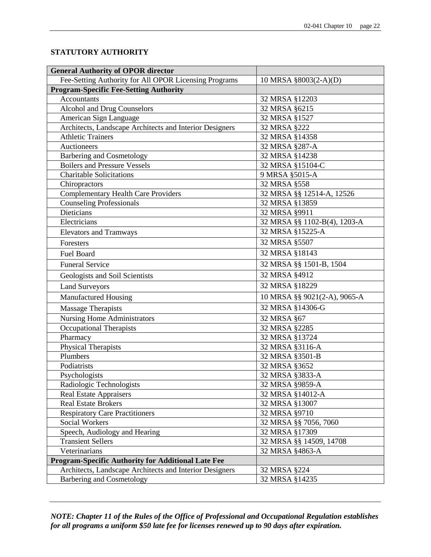# **STATUTORY AUTHORITY**

| <b>General Authority of OPOR director</b>                 |                              |
|-----------------------------------------------------------|------------------------------|
| Fee-Setting Authority for All OPOR Licensing Programs     | 10 MRSA §8003(2-A)(D)        |
| <b>Program-Specific Fee-Setting Authority</b>             |                              |
| Accountants                                               | 32 MRSA §12203               |
| Alcohol and Drug Counselors                               | 32 MRSA §6215                |
| American Sign Language                                    | 32 MRSA §1527                |
| Architects, Landscape Architects and Interior Designers   | 32 MRSA §222                 |
| <b>Athletic Trainers</b>                                  | 32 MRSA §14358               |
| Auctioneers                                               | 32 MRSA §287-A               |
| <b>Barbering and Cosmetology</b>                          | 32 MRSA §14238               |
| <b>Boilers and Pressure Vessels</b>                       | 32 MRSA §15104-C             |
| <b>Charitable Solicitations</b>                           | 9 MRSA §5015-A               |
| Chiropractors                                             | 32 MRSA §558                 |
| <b>Complementary Health Care Providers</b>                | 32 MRSA §§ 12514-A, 12526    |
| <b>Counseling Professionals</b>                           | 32 MRSA §13859               |
| <b>Dieticians</b>                                         | 32 MRSA §9911                |
| Electricians                                              | 32 MRSA §§ 1102-B(4), 1203-A |
| <b>Elevators and Tramways</b>                             | 32 MRSA §15225-A             |
| Foresters                                                 | 32 MRSA §5507                |
| <b>Fuel Board</b>                                         | 32 MRSA §18143               |
| <b>Funeral Service</b>                                    | 32 MRSA §§ 1501-B, 1504      |
| Geologists and Soil Scientists                            | 32 MRSA §4912                |
| <b>Land Surveyors</b>                                     | 32 MRSA §18229               |
| Manufactured Housing                                      | 10 MRSA §§ 9021(2-A), 9065-A |
| <b>Massage Therapists</b>                                 | 32 MRSA §14306-G             |
| <b>Nursing Home Administrators</b>                        | 32 MRSA §67                  |
| Occupational Therapists                                   | 32 MRSA §2285                |
| Pharmacy                                                  | 32 MRSA §13724               |
| <b>Physical Therapists</b>                                | 32 MRSA §3116-A              |
| Plumbers                                                  | 32 MRSA §3501-B              |
| Podiatrists                                               | 32 MRSA §3652                |
| Psychologists                                             | 32 MRSA §3833-A              |
| Radiologic Technologists                                  | 32 MRSA §9859-A              |
| <b>Real Estate Appraisers</b>                             | 32 MRSA §14012-A             |
| <b>Real Estate Brokers</b>                                | 32 MRSA §13007               |
| <b>Respiratory Care Practitioners</b>                     | 32 MRSA §9710                |
| <b>Social Workers</b>                                     | 32 MRSA §§ 7056, 7060        |
| Speech, Audiology and Hearing                             | 32 MRSA §17309               |
| <b>Transient Sellers</b>                                  | 32 MRSA §§ 14509, 14708      |
| Veterinarians                                             | 32 MRSA §4863-A              |
| <b>Program-Specific Authority for Additional Late Fee</b> |                              |
| Architects, Landscape Architects and Interior Designers   | 32 MRSA §224                 |
| <b>Barbering and Cosmetology</b>                          | 32 MRSA §14235               |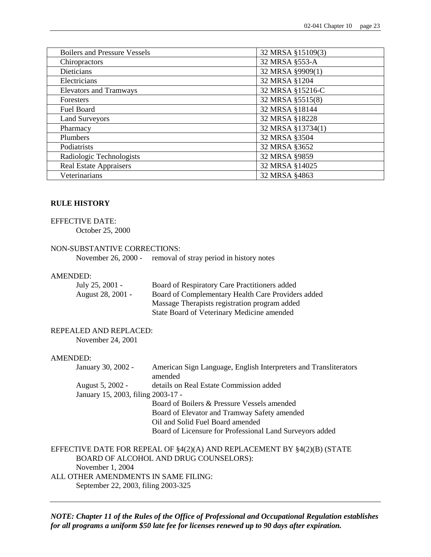| <b>Boilers and Pressure Vessels</b> | 32 MRSA §15109(3) |
|-------------------------------------|-------------------|
| Chiropractors                       | 32 MRSA §553-A    |
| <b>Dieticians</b>                   | 32 MRSA §9909(1)  |
| Electricians                        | 32 MRSA §1204     |
| <b>Elevators and Tramways</b>       | 32 MRSA §15216-C  |
| <b>Foresters</b>                    | 32 MRSA §5515(8)  |
| Fuel Board                          | 32 MRSA §18144    |
| <b>Land Surveyors</b>               | 32 MRSA §18228    |
| Pharmacy                            | 32 MRSA §13734(1) |
| Plumbers                            | 32 MRSA §3504     |
| Podiatrists                         | 32 MRSA §3652     |
| Radiologic Technologists            | 32 MRSA §9859     |
| <b>Real Estate Appraisers</b>       | 32 MRSA §14025    |
| Veterinarians                       | 32 MRSA §4863     |

#### **RULE HISTORY**

#### EFFECTIVE DATE:

October 25, 2000

#### NON-SUBSTANTIVE CORRECTIONS:

November 26, 2000 - removal of stray period in history notes

#### AMENDED:

| July 25, 2001 -   | Board of Respiratory Care Practitioners added      |
|-------------------|----------------------------------------------------|
| August 28, 2001 - | Board of Complementary Health Care Providers added |
|                   | Massage Therapists registration program added      |
|                   | State Board of Veterinary Medicine amended         |

# REPEALED AND REPLACED:

November 24, 2001

#### AMENDED:

| January 30, 2002 -                 | American Sign Language, English Interpreters and Transliterators |
|------------------------------------|------------------------------------------------------------------|
|                                    | amended                                                          |
| August 5, 2002 -                   | details on Real Estate Commission added                          |
| January 15, 2003, filing 2003-17 - |                                                                  |
|                                    | Board of Boilers & Pressure Vessels amended                      |
|                                    | Board of Elevator and Tramway Safety amended                     |
|                                    | Oil and Solid Fuel Board amended                                 |
|                                    | Board of Licensure for Professional Land Surveyors added         |
|                                    |                                                                  |

EFFECTIVE DATE FOR REPEAL OF §4(2)(A) AND REPLACEMENT BY §4(2)(B) (STATE BOARD OF ALCOHOL AND DRUG COUNSELORS): November 1, 2004 ALL OTHER AMENDMENTS IN SAME FILING: September 22, 2003, filing 2003-325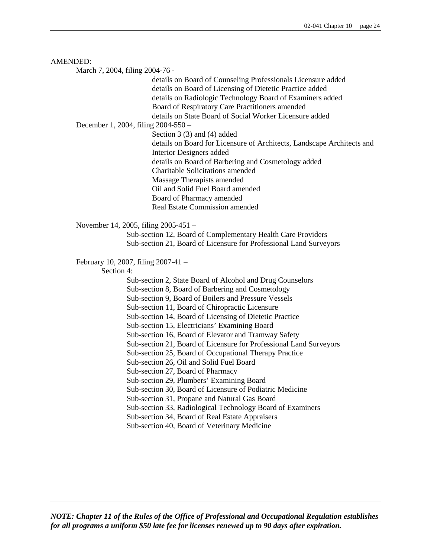#### AMENDED:

March 7, 2004, filing 2004-76 -

details on Board of Counseling Professionals Licensure added details on Board of Licensing of Dietetic Practice added details on Radiologic Technology Board of Examiners added Board of Respiratory Care Practitioners amended details on State Board of Social Worker Licensure added

December 1, 2004, filing 2004-550 –

Section 3 (3) and (4) added

details on Board for Licensure of Architects, Landscape Architects and Interior Designers added details on Board of Barbering and Cosmetology added Charitable Solicitations amended Massage Therapists amended Oil and Solid Fuel Board amended Board of Pharmacy amended Real Estate Commission amended

November 14, 2005, filing 2005-451 –

Sub-section 12, Board of Complementary Health Care Providers Sub-section 21, Board of Licensure for Professional Land Surveyors

February 10, 2007, filing 2007-41 –

Section 4:

Sub-section 2, State Board of Alcohol and Drug Counselors

Sub-section 8, Board of Barbering and Cosmetology

Sub-section 9, Board of Boilers and Pressure Vessels

Sub-section 11, Board of Chiropractic Licensure

Sub-section 14, Board of Licensing of Dietetic Practice

Sub-section 15, Electricians' Examining Board

Sub-section 16, Board of Elevator and Tramway Safety

Sub-section 21, Board of Licensure for Professional Land Surveyors

Sub-section 25, Board of Occupational Therapy Practice

Sub-section 26, Oil and Solid Fuel Board

Sub-section 27, Board of Pharmacy

Sub-section 29, Plumbers' Examining Board

Sub-section 30, Board of Licensure of Podiatric Medicine

Sub-section 31, Propane and Natural Gas Board

Sub-section 33, Radiological Technology Board of Examiners

Sub-section 34, Board of Real Estate Appraisers

Sub-section 40, Board of Veterinary Medicine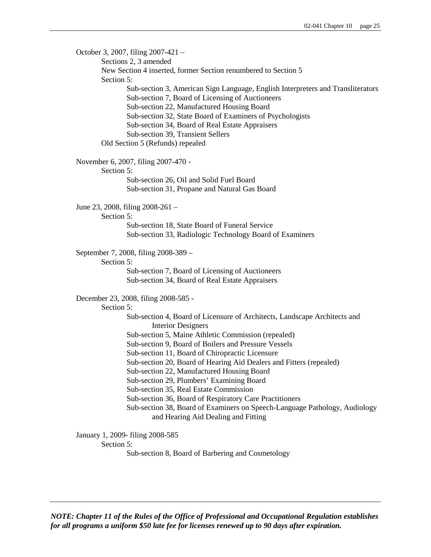October 3, 2007, filing 2007-421 – Sections 2, 3 amended New Section 4 inserted, former Section renumbered to Section 5 Section 5: Sub-section 3, American Sign Language, English Interpreters and Transliterators Sub-section 7, Board of Licensing of Auctioneers Sub-section 22, Manufactured Housing Board Sub-section 32, State Board of Examiners of Psychologists Sub-section 34, Board of Real Estate Appraisers Sub-section 39, Transient Sellers Old Section 5 (Refunds) repealed November 6, 2007, filing 2007-470 - Section 5: Sub-section 26, Oil and Solid Fuel Board Sub-section 31, Propane and Natural Gas Board June 23, 2008, filing 2008-261 – Section 5: Sub-section 18, State Board of Funeral Service Sub-section 33, Radiologic Technology Board of Examiners September 7, 2008, filing 2008-389 – Section 5: Sub-section 7, Board of Licensing of Auctioneers Sub-section 34, Board of Real Estate Appraisers December 23, 2008, filing 2008-585 - Section 5: Sub-section 4, Board of Licensure of Architects, Landscape Architects and Interior Designers Sub-section 5, Maine Athletic Commission (repealed) Sub-section 9, Board of Boilers and Pressure Vessels Sub-section 11, Board of Chiropractic Licensure Sub-section 20, Board of Hearing Aid Dealers and Fitters (repealed) Sub-section 22, Manufactured Housing Board Sub-section 29, Plumbers' Examining Board Sub-section 35, Real Estate Commission Sub-section 36, Board of Respiratory Care Practitioners Sub-section 38, Board of Examiners on Speech-Language Pathology, Audiology and Hearing Aid Dealing and Fitting January 1, 2009- filing 2008-585 Section 5:

Sub-section 8, Board of Barbering and Cosmetology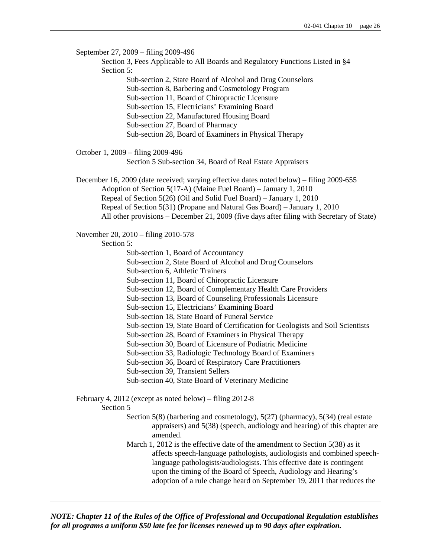September 27, 2009 – filing 2009-496 Section 3, Fees Applicable to All Boards and Regulatory Functions Listed in §4 Section 5: Sub-section 2, State Board of Alcohol and Drug Counselors Sub-section 8, Barbering and Cosmetology Program Sub-section 11, Board of Chiropractic Licensure Sub-section 15, Electricians' Examining Board Sub-section 22, Manufactured Housing Board Sub-section 27, Board of Pharmacy Sub-section 28, Board of Examiners in Physical Therapy October 1, 2009 – filing 2009-496 Section 5 Sub-section 34, Board of Real Estate Appraisers December 16, 2009 (date received; varying effective dates noted below) – filing 2009-655 Adoption of Section 5(17-A) (Maine Fuel Board) – January 1, 2010 Repeal of Section 5(26) (Oil and Solid Fuel Board) – January 1, 2010 Repeal of Section 5(31) (Propane and Natural Gas Board) – January 1, 2010 All other provisions – December 21, 2009 (five days after filing with Secretary of State) November 20, 2010 – filing 2010-578 Section 5: Sub-section 1, Board of Accountancy Sub-section 2, State Board of Alcohol and Drug Counselors Sub-section 6, Athletic Trainers Sub-section 11, Board of Chiropractic Licensure Sub-section 12, Board of Complementary Health Care Providers Sub-section 13, Board of Counseling Professionals Licensure Sub-section 15, Electricians' Examining Board Sub-section 18, State Board of Funeral Service Sub-section 19, State Board of Certification for Geologists and Soil Scientists Sub-section 28, Board of Examiners in Physical Therapy Sub-section 30, Board of Licensure of Podiatric Medicine Sub-section 33, Radiologic Technology Board of Examiners Sub-section 36, Board of Respiratory Care Practitioners Sub-section 39, Transient Sellers Sub-section 40, State Board of Veterinary Medicine February 4, 2012 (except as noted below) – filing 2012-8 Section 5 Section 5(8) (barbering and cosmetology), 5(27) (pharmacy), 5(34) (real estate appraisers) and 5(38) (speech, audiology and hearing) of this chapter are amended. March 1, 2012 is the effective date of the amendment to Section 5(38) as it affects speech-language pathologists, audiologists and combined speechlanguage pathologists/audiologists. This effective date is contingent upon the timing of the Board of Speech, Audiology and Hearing's adoption of a rule change heard on September 19, 2011 that reduces the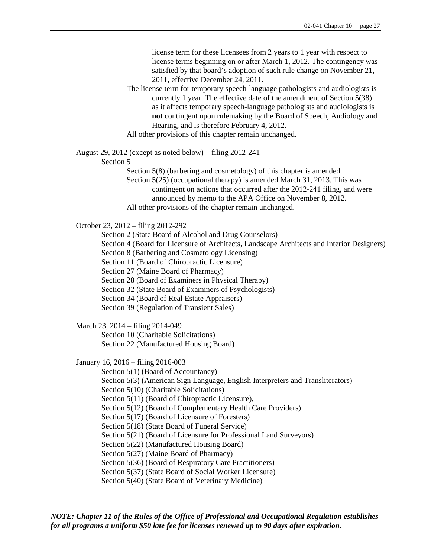license term for these licensees from 2 years to 1 year with respect to license terms beginning on or after March 1, 2012. The contingency was satisfied by that board's adoption of such rule change on November 21, 2011, effective December 24, 2011.

The license term for temporary speech-language pathologists and audiologists is currently 1 year. The effective date of the amendment of Section 5(38) as it affects temporary speech-language pathologists and audiologists is **not** contingent upon rulemaking by the Board of Speech, Audiology and Hearing, and is therefore February 4, 2012.

All other provisions of this chapter remain unchanged.

August 29, 2012 (except as noted below) – filing 2012-241

Section 5

Section 5(8) (barbering and cosmetology) of this chapter is amended.

Section 5(25) (occupational therapy) is amended March 31, 2013. This was contingent on actions that occurred after the 2012-241 filing, and were

announced by memo to the APA Office on November 8, 2012.

All other provisions of the chapter remain unchanged.

October 23, 2012 – filing 2012-292

Section 2 (State Board of Alcohol and Drug Counselors)

Section 4 (Board for Licensure of Architects, Landscape Architects and Interior Designers)

Section 8 (Barbering and Cosmetology Licensing)

Section 11 (Board of Chiropractic Licensure)

Section 27 (Maine Board of Pharmacy)

Section 28 (Board of Examiners in Physical Therapy)

Section 32 (State Board of Examiners of Psychologists)

Section 34 (Board of Real Estate Appraisers)

Section 39 (Regulation of Transient Sales)

March 23, 2014 – filing 2014-049

Section 10 (Charitable Solicitations)

Section 22 (Manufactured Housing Board)

January 16, 2016 – filing 2016-003

Section 5(1) (Board of Accountancy)

Section 5(3) (American Sign Language, English Interpreters and Transliterators)

Section 5(10) (Charitable Solicitations)

Section 5(11) (Board of Chiropractic Licensure),

Section 5(12) (Board of Complementary Health Care Providers)

Section 5(17) (Board of Licensure of Foresters)

Section 5(18) (State Board of Funeral Service)

Section 5(21) (Board of Licensure for Professional Land Surveyors)

Section 5(22) (Manufactured Housing Board)

Section 5(27) (Maine Board of Pharmacy)

Section 5(36) (Board of Respiratory Care Practitioners)

Section 5(37) (State Board of Social Worker Licensure)

Section 5(40) (State Board of Veterinary Medicine)